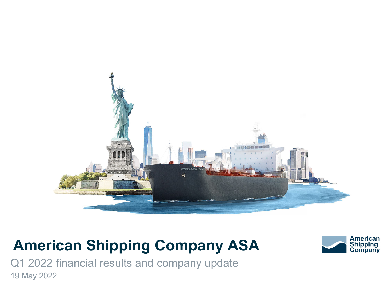

# **American Shipping Company ASA**



Q1 2022 financial results and company update 19 May 2022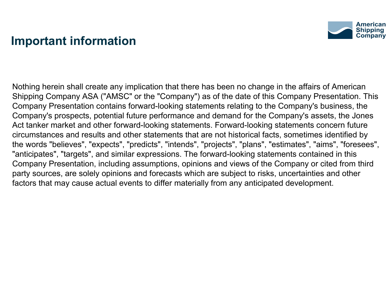### **Important information**



Nothing herein shall create any implication that there has been no change in the affairs of American Shipping Company ASA ("AMSC" or the "Company") as of the date of this Company Presentation. This Company Presentation contains forward-looking statements relating to the Company's business, the Company's prospects, potential future performance and demand for the Company's assets, the Jones Act tanker market and other forward-looking statements. Forward-looking statements concern future circumstances and results and other statements that are not historical facts, sometimes identified by the words "believes", "expects", "predicts", "intends", "projects", "plans", "estimates", "aims", "foresees", "anticipates", "targets", and similar expressions. The forward-looking statements contained in this Company Presentation, including assumptions, opinions and views of the Company or cited from third party sources, are solely opinions and forecasts which are subject to risks, uncertainties and other factors that may cause actual events to differ materially from any anticipated development.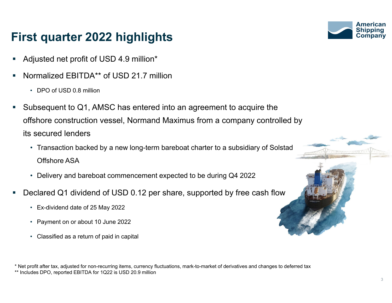### **First quarter 2022 highlights**

- L Adjusted net profit of USD 4.9 million\*
- Normalized EBITDA\*\* of USD 21.7 million
	- DPO of USD 0.8 million
- Г Subsequent to Q1, AMSC has entered into an agreement to acquire the offshore construction vessel, Normand Maximus from a company controlled by its secured lenders
	- Transaction backed by a new long-term bareboat charter to a subsidiary of Solstad Offshore ASA
	- Delivery and bareboat commencement expected to be during Q4 2022
- Declared Q1 dividend of USD 0.12 per share, supported by free cash flow
	- Ex-dividend date of 25 May 2022
	- Payment on or about 10 June 2022
	- Classified as a return of paid in capital

\* Net profit after tax, adjusted for non-recurring items, currency fluctuations, mark-to-market of derivatives and changes to deferred tax

\*\* Includes DPO, reported EBITDA for 1Q22 is USD 20.9 million



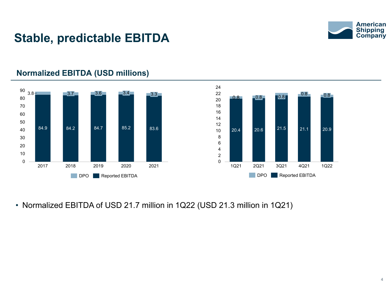

### **Stable, predictable EBITDA**



### **Normalized EBITDA (USD millions)**

• Normalized EBITDA of USD 21.7 million in 1Q22 (USD 21.3 million in 1Q21)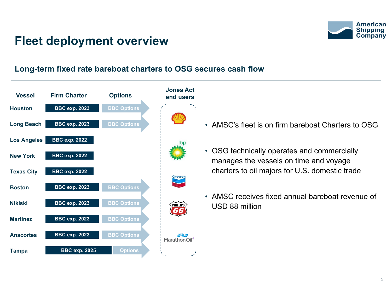

### **Fleet deployment overview**

#### **Long-term fixed rate bareboat charters to OSG secures cash flow**



- AMSC's fleet is on firm bareboat Charters to OSG
- OSG technically operates and commercially manages the vessels on time and voyage charters to oil majors for U.S. domestic trade
- AMSC receives fixed annual bareboat revenue of USD 88 million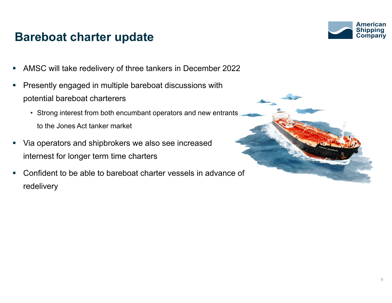### **Bareboat charter update**

**American** Shippina

- T. AMSC will take redelivery of three tankers in December 2022
- ×. Presently engaged in multiple bareboat discussions with potential bareboat charterers
	- Strong interest from both encumbant operators and new entrants to the Jones Act tanker market
- $\mathcal{L}_{\mathcal{A}}$  Via operators and shipbrokers we also see increased internest for longer term time charters
- $\mathcal{C}_{\mathcal{A}}$  Confident to be able to bareboat charter vessels in advance of redelivery

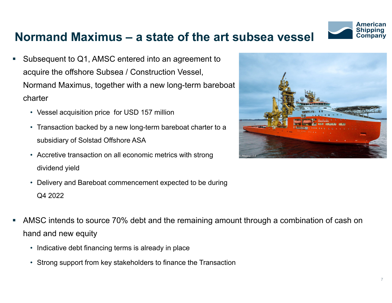

### **Normand Maximus – a state of the art subsea vessel**

- L Subsequent to Q1, AMSC entered into an agreement to acquire the offshore Subsea / Construction Vessel, Normand Maximus, together with a new long-term bareboat charter
	- Vessel acquisition price for USD 157 million
	- Transaction backed by a new long-term bareboat charter to a subsidiary of Solstad Offshore ASA
	- Accretive transaction on all economic metrics with strong dividend yield
	- Delivery and Bareboat commencement expected to be during Q4 2022
- AMSC intends to source 70% debt and the remaining amount through a combination of cash on hand and new equity
	- Indicative debt financing terms is already in place
	- Strong support from key stakeholders to finance the Transaction

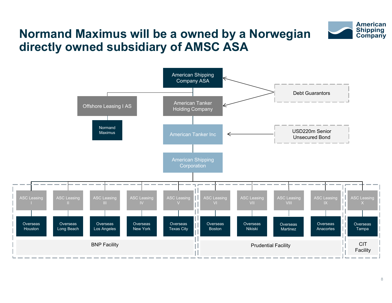#### **American Shipping** Company

### **Normand Maximus will be a owned by a Norwegian directly owned subsidiary of AMSC ASA**

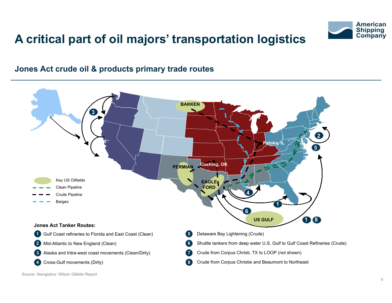

## **A critical part of oil majors' transportation logistics**

#### **Jones Act crude oil & products primary trade routes**



Source: Navigistics' Wilson Gillette Report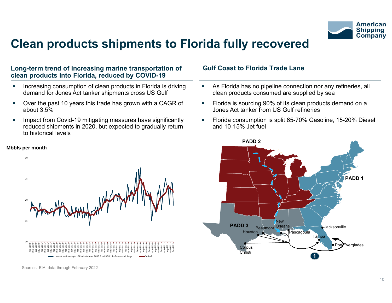

### **Clean products shipments to Florida fully recovered**

#### **Long-term trend of increasing marine transportation of clean products into Florida, reduced by COVID-19**

- $\blacksquare$  Increasing consumption of clean products in Florida is driving demand for Jones Act tanker shipments cross US Gulf
- $\mathcal{L}_{\mathcal{A}}$  Over the past 10 years this trade has grown with a CAGR of about 3.5%
- $\mathcal{L}_{\mathcal{A}}$  Impact from Covid-19 mitigating measures have significantly reduced shipments in 2020, but expected to gradually return to historical levels



#### **Mbbls per month**

Sources: EIA, data through February 2022

#### **Gulf Coast to Florida Trade Lane**

- $\mathcal{L}_{\mathcal{A}}$  As Florida has no pipeline connection nor any refineries, all clean products consumed are supplied by sea
- Ì. Florida is sourcing 90% of its clean products demand on a Jones Act tanker from US Gulf refineries
- $\blacksquare$  Florida consumption is split 65-70% Gasoline, 15-20% Diesel and 10-15% Jet fuel

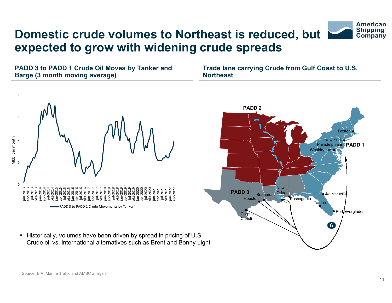## **Domestic crude volumes to Northeast is reduced, but expected to grow with widening crude spreads**

**PADD 3 to PADD 1 Crude Oil Moves by Tanker and Barge (3 month moving average)**

**Trade lane carrying Crude from Gulf Coast to U.S. Northeast**





■ Historically, volumes have been driven by spread in pricing of U.S. Crude oil vs. international alternatives such as Brent and Bonny Light **American Shipping Company**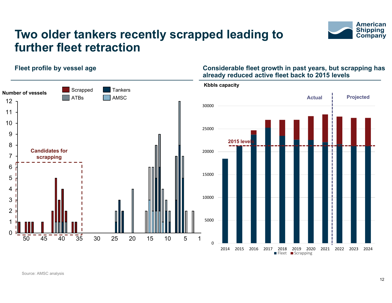

### **Two older tankers recently scrapped leading to further fleet retraction**



#### **Fleet profile by vessel age Considerable fleet growth in past years, but scrapping has already reduced active fleet back to 2015 levels**

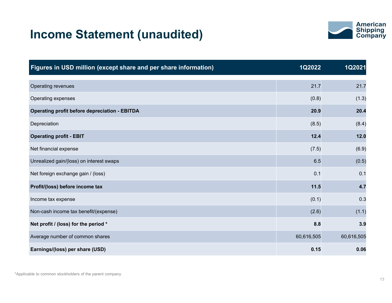### **Income Statement (unaudited)**



| Figures in USD million (except share and per share information) | 1Q2022     | 1Q2021     |
|-----------------------------------------------------------------|------------|------------|
| Operating revenues                                              | 21.7       | 21.7       |
| Operating expenses                                              | (0.8)      | (1.3)      |
| <b>Operating profit before depreciation - EBITDA</b>            | 20.9       | 20.4       |
| Depreciation                                                    | (8.5)      | (8.4)      |
| <b>Operating profit - EBIT</b>                                  | 12.4       | 12.0       |
| Net financial expense                                           | (7.5)      | (6.9)      |
| Unrealized gain/(loss) on interest swaps                        | 6.5        | (0.5)      |
| Net foreign exchange gain / (loss)                              | 0.1        | 0.1        |
| Profit/(loss) before income tax                                 | 11.5       | 4.7        |
| Income tax expense                                              | (0.1)      | 0.3        |
| Non-cash income tax benefit/(expense)                           | (2.6)      | (1.1)      |
| Net profit / (loss) for the period *                            | 8.8        | 3.9        |
| Average number of common shares                                 | 60,616,505 | 60,616,505 |
| Earnings/(loss) per share (USD)                                 | 0.15       | 0.06       |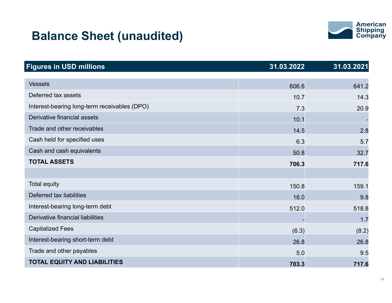### **Balance Sheet (unaudited)**



| <b>Figures in USD millions</b>               | 31.03.2022 | 31.03.2021 |
|----------------------------------------------|------------|------------|
|                                              |            |            |
| <b>Vessels</b>                               | 606.6      | 641.2      |
| Deferred tax assets                          | 10.7       | 14.3       |
| Interest-bearing long-term receivables (DPO) | 7.3        | 20.9       |
| Derivative financial assets                  | 10.1       |            |
| Trade and other receivables                  | 14.5       | 2.8        |
| Cash held for specified uses                 | 6.3        | 5.7        |
| Cash and cash equivalents                    | 50.8       | 32.7       |
| <b>TOTAL ASSETS</b>                          | 706.3      | 717.6      |
|                                              |            |            |
| <b>Total equity</b>                          | 150.8      | 159.1      |
| Deferred tax liabilities                     | 18.0       | 9.8        |
| Interest-bearing long-term debt              | 512.0      | 518.8      |
| Derivative financial liabilities             |            | 1.7        |
| <b>Capitalized Fees</b>                      | (6.3)      | (8.2)      |
| Interest-bearing short-term debt             | 26.8       | 26.8       |
| Trade and other payables                     | 5.0        | 9.5        |
| <b>TOTAL EQUITY AND LIABILITIES</b>          | 703.3      | 717.6      |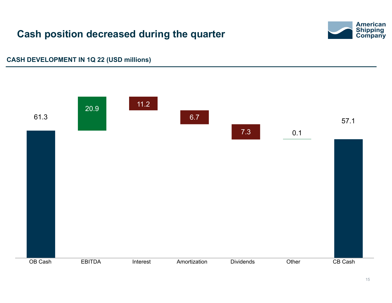### **Cash position decreased during the quarter**



#### **CASH DEVELOPMENT IN 1Q 22 (USD millions)**

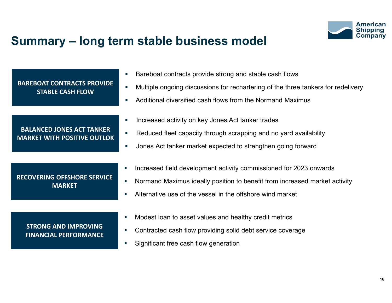

### **Summary – long term stable business model**

|                                                                        | Bareboat contracts provide strong and stable cash flows<br>$\mathcal{L}_{\mathcal{A}}$                                                                                                                                                                                                               |
|------------------------------------------------------------------------|------------------------------------------------------------------------------------------------------------------------------------------------------------------------------------------------------------------------------------------------------------------------------------------------------|
| <b>BAREBOAT CONTRACTS PROVIDE</b><br><b>STABLE CASH FLOW</b>           | Multiple ongoing discussions for rechartering of the three tankers for redelivery<br>$\overline{\phantom{a}}$                                                                                                                                                                                        |
|                                                                        | Additional diversified cash flows from the Normand Maximus<br>o.                                                                                                                                                                                                                                     |
| <b>BALANCED JONES ACT TANKER</b><br><b>MARKET WITH POSITIVE OUTLOK</b> | Increased activity on key Jones Act tanker trades<br>×.<br>Reduced fleet capacity through scrapping and no yard availability<br>U.<br>Jones Act tanker market expected to strengthen going forward<br>$\mathcal{L}_{\mathcal{A}}$                                                                    |
| <b>RECOVERING OFFSHORE SERVICE</b><br><b>MARKET</b>                    | Increased field development activity commissioned for 2023 onwards<br>$\mathcal{L}_{\mathcal{A}}$<br>Normand Maximus ideally position to benefit from increased market activity<br>$\overline{\phantom{a}}$<br>Alternative use of the vessel in the offshore wind market<br>$\overline{\phantom{a}}$ |
|                                                                        |                                                                                                                                                                                                                                                                                                      |
| <b>STRONG AND IMPROVING</b><br><b>FINANCIAL PERFORMANCE</b>            | Modest loan to asset values and healthy credit metrics<br>$\mathcal{L}_{\mathcal{A}}$                                                                                                                                                                                                                |
|                                                                        | Contracted cash flow providing solid debt service coverage<br>×.                                                                                                                                                                                                                                     |
|                                                                        | Significant free cash flow generation<br>$\overline{\phantom{a}}$                                                                                                                                                                                                                                    |